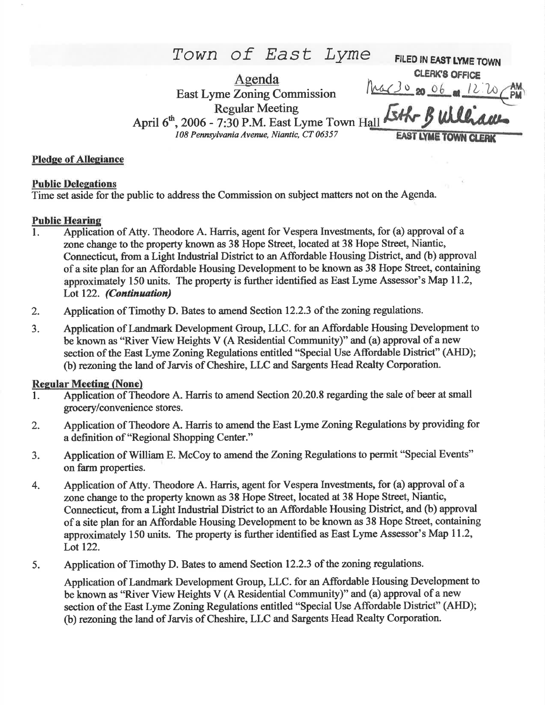TOWN Of East Lyme FILED IN EAST LYME TOWN CLERK'S OFFICE<br> $Mac302006$  at  $1270$ </u> Agenda **East Lyme Zoning Commission** Regular Meeting Eth-Buller April  $6<sup>th</sup>$ , 2006 - 7:30 P.M. East Lyme Town Hall 108 Pennsylvanis Avenue, Niantic, CT 06357 EAST LYME TOWN

## Pledge of Allegiance

### Public Deleeations

Time set aside for the public to address the Commission on subject matters not on the Aggnda.

### **Public Hearing**

- 1. Application of Atty. Theodore A. Harris, agent for Vespera Investnents, for (a) approval of <sup>a</sup> zone change to the property known as 38 Hope Street, located at 38 Hope Street, Niantic, Connecticut, from a Light Industrial District to an Affordable Housing District, and (b) approval of a site plan for an Affordable Housing Development to be known as 38 Hope Street, containing approximately 150 units. The property is further identified as East Lyme Assessor's Map 11.2, Lot 122. (Continuation)
- 2. Application of Timothy D. Bates to amend Section 12.2.3 of the zoning regulations.
- 3. Application of Landmark Development Group, LLC. for an Affordable Housing Development to be known as "River View Heights V (A Residential Community)" and (a) approval of a new section of the East Lyme Zoning Regulations entitled "Special Use Affordable District" (AHD); (b) rezoning the land of Jarvis of Cheshire,LLC and Sargents Head Realty Corporation.

### Regular Meeting (None)

- l. Application of Theodore A. Harris to amend Section 20.20.8 regarding the sale of beer at small grocery/convenience stores.
- 2. Application of Theodore A. Harris to amend the East Lyme Zoning Regulations by providing for a definition of "Regional Shopping Center."
- 3. Application of William E. McCoy to amend the Zoning Regulations to permit "Special Events" on farm properties.
- 4. Application of Atty. Theodore A. Harris, agent for Vespera Investnents, for (a) approval of <sup>a</sup> zone change to the property known as 38 Hope Street, located at 38 Hope Street, Niantic, Connecticut, from a Light Industrial District to an Affordable Housing District, and (b) approval of a site plan for an Affordable Housing Development to be known as 38 Hope Steet, containing approximately 150 units. The property is further identified as East Lyme Assessor's Map 11.2, Lot 122.
- 5. Application of Timothy D. Bates to amend Section 12.2.3 of the zoning regulations.

Application of Landmark Development Group, LLC. for an Affordable Housing Development to be known as "River View Heights V (A Residential Community)" and (a) approval of a new section of the East Lyme Zoning Regulations entitled "Special Use Affordable District" (AHD); (b) rezoning the land of Jarvis of Cheshire,LLC and Sargents Head Realty Corporation.